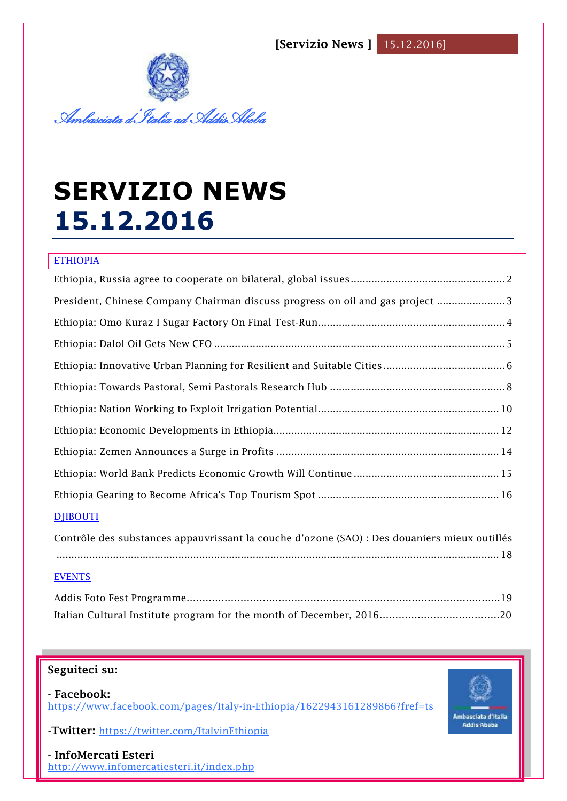

# **SERVIZIO NEWS 15.12.2016**

| <b>ETHIOPIA</b>                                                             |  |  |
|-----------------------------------------------------------------------------|--|--|
|                                                                             |  |  |
| President, Chinese Company Chairman discuss progress on oil and gas project |  |  |
|                                                                             |  |  |
|                                                                             |  |  |
|                                                                             |  |  |
|                                                                             |  |  |
|                                                                             |  |  |
|                                                                             |  |  |
|                                                                             |  |  |
|                                                                             |  |  |
|                                                                             |  |  |
| <b>DJIBOUTI</b>                                                             |  |  |

| Contrôle des substances appauvrissant la couche d'ozone (SAO) : Des douaniers mieux outillés |  |
|----------------------------------------------------------------------------------------------|--|
| $18$                                                                                         |  |

#### EVENTS

## **Seguiteci su:**

**- Facebook:** <https://www.facebook.com/pages/Italy-in-Ethiopia/1622943161289866?fref=ts>

-**Twitter:** <https://twitter.com/ItalyinEthiopia>

**1 - InfoMercati Esteri**  <http://www.infomercatiesteri.it/index.php>

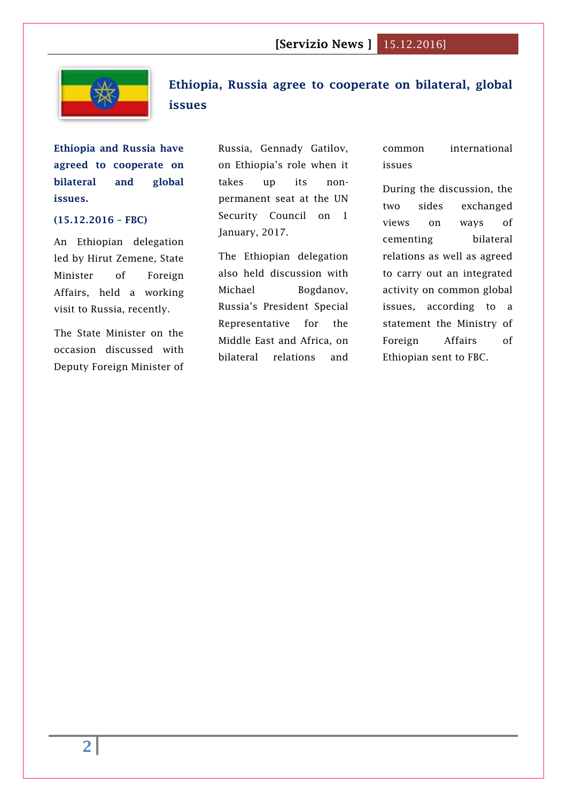

# <span id="page-1-0"></span>**Ethiopia, Russia agree to cooperate on bilateral, global issues**

**Ethiopia and Russia have agreed to cooperate on bilateral and global issues.**

## **(15.12.2016 – FBC)**

An Ethiopian delegation led by Hirut Zemene, State Minister of Foreign Affairs, held a working visit to Russia, recently.

The State Minister on the occasion discussed with Deputy Foreign Minister of Russia, Gennady Gatilov, on Ethiopia's role when it takes up its nonpermanent seat at the UN Security Council on 1 January, 2017.

The Ethiopian delegation also held discussion with Michael Bogdanov, Russia's President Special Representative for the Middle East and Africa, on bilateral relations and common international issues

During the discussion, the two sides exchanged views on ways of cementing bilateral relations as well as agreed to carry out an integrated activity on common global issues, according to a statement the Ministry of Foreign Affairs of Ethiopian sent to FBC.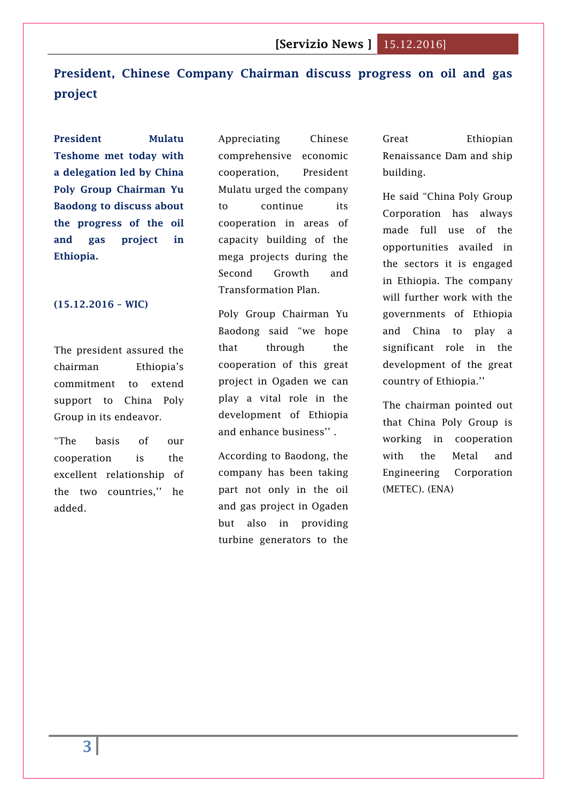# <span id="page-2-0"></span>**President, Chinese Company Chairman discuss progress on oil and gas project**

**President Mulatu Teshome met today with a delegation led by China Poly Group Chairman Yu Baodong to discuss about the progress of the oil and gas project in Ethiopia.**

#### **(15.12.2016 – WIC)**

The president assured the chairman Ethiopia's commitment to extend support to China Poly Group in its endeavor.

"The basis of our cooperation is the excellent relationship of the two countries,'' he added.

Appreciating Chinese comprehensive economic cooperation, President Mulatu urged the company to continue its cooperation in areas of capacity building of the mega projects during the Second Growth and Transformation Plan.

Poly Group Chairman Yu Baodong said "we hope that through the cooperation of this great project in Ogaden we can play a vital role in the development of Ethiopia and enhance business'' .

According to Baodong, the company has been taking part not only in the oil and gas project in Ogaden but also in providing turbine generators to the

Great Ethiopian Renaissance Dam and ship building.

He said "China Poly Group Corporation has always made full use of the opportunities availed in the sectors it is engaged in Ethiopia. The company will further work with the governments of Ethiopia and China to play a significant role in the development of the great country of Ethiopia.''

The chairman pointed out that China Poly Group is working in cooperation with the Metal and Engineering Corporation (METEC). (ENA)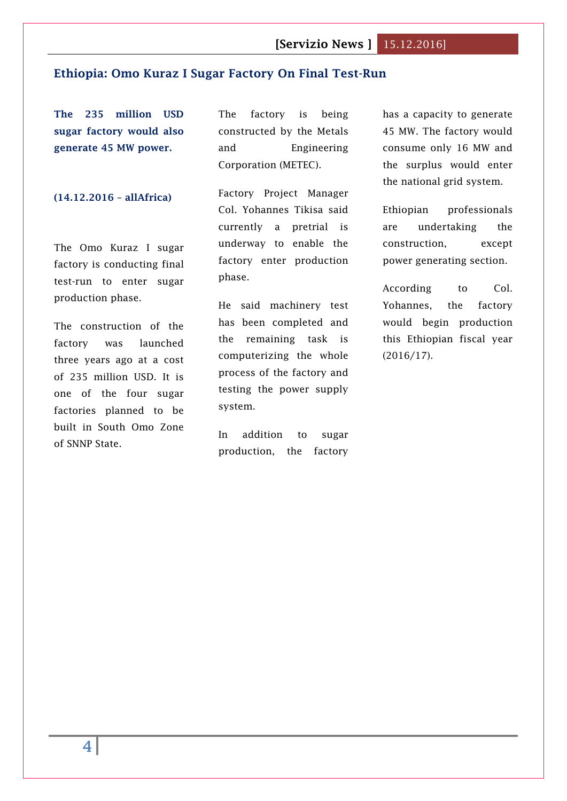## <span id="page-3-0"></span>**Ethiopia: Omo Kuraz I Sugar Factory On Final Test-Run**

**The 235 million USD sugar factory would also generate 45 MW power.**

#### **(14.12.2016 – allAfrica)**

The Omo Kuraz I sugar factory is conducting final test-run to enter sugar production phase.

The construction of the factory was launched three years ago at a cost of 235 million USD. It is one of the four sugar factories planned to be built in South Omo Zone of SNNP State.

The factory is being constructed by the Metals and Engineering Corporation (METEC).

Factory Project Manager Col. Yohannes Tikisa said currently a pretrial is underway to enable the factory enter production phase.

He said machinery test has been completed and the remaining task is computerizing the whole process of the factory and testing the power supply system.

In addition to sugar production, the factory has a capacity to generate 45 MW. The factory would consume only 16 MW and the surplus would enter the national grid system.

Ethiopian professionals are undertaking the construction, except power generating section.

According to Col. Yohannes, the factory would begin production this Ethiopian fiscal year (2016/17).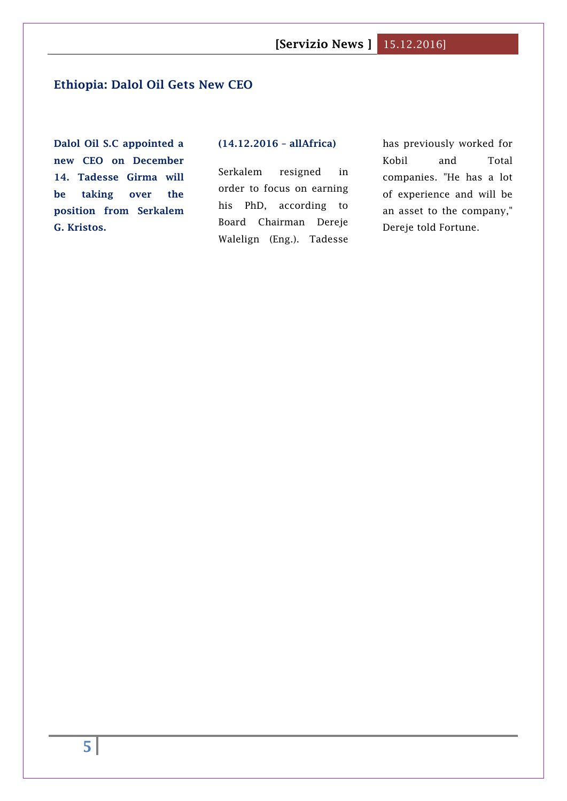## <span id="page-4-0"></span>**Ethiopia: Dalol Oil Gets New CEO**

**Dalol Oil S.C appointed a new CEO on December 14. Tadesse Girma will be taking over the position from Serkalem G. Kristos.**

#### **(14.12.2016 – allAfrica)**

Serkalem resigned in order to focus on earning his PhD, according to Board Chairman Dereje Walelign (Eng.). Tadesse has previously worked for Kobil and Total companies. "He has a lot of experience and will be an asset to the company," Dereje told Fortune.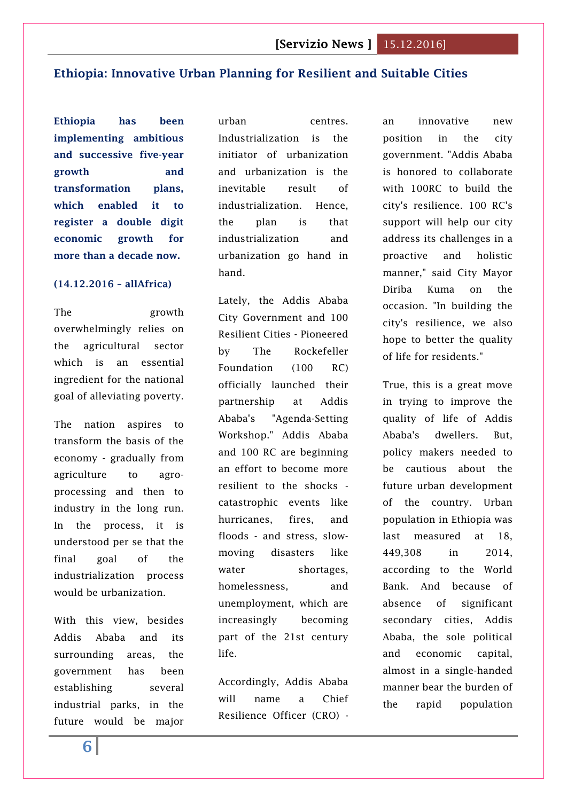## <span id="page-5-0"></span>**Ethiopia: Innovative Urban Planning for Resilient and Suitable Cities**

**Ethiopia has been implementing ambitious and successive five-year growth and transformation plans, which enabled it to register a double digit economic growth for more than a decade now.** 

## **(14.12.2016 – allAfrica)**

The growth overwhelmingly relies on the agricultural sector which is an essential ingredient for the national goal of alleviating poverty.

The nation aspires to transform the basis of the economy - gradually from agriculture to agroprocessing and then to industry in the long run. In the process, it is understood per se that the final goal of the industrialization process would be urbanization.

With this view, besides Addis Ababa and its surrounding areas, the government has been establishing several industrial parks, in the future would be major urban centres. Industrialization is the initiator of urbanization and urbanization is the inevitable result of industrialization. Hence, the plan is that industrialization and urbanization go hand in hand.

Lately, the Addis Ababa City Government and 100 Resilient Cities - Pioneered by The Rockefeller Foundation (100 RC) officially launched their partnership at Addis Ababa's "Agenda-Setting Workshop." Addis Ababa and 100 RC are beginning an effort to become more resilient to the shocks catastrophic events like hurricanes, fires, and floods - and stress, slowmoving disasters like water shortages, homelessness, and unemployment, which are increasingly becoming part of the 21st century life.

Accordingly, Addis Ababa will name a Chief Resilience Officer (CRO) -

an innovative new position in the city government. "Addis Ababa is honored to collaborate with 100RC to build the city's resilience. 100 RC's support will help our city address its challenges in a proactive and holistic manner," said City Mayor Diriba Kuma on the occasion. "In building the city's resilience, we also hope to better the quality of life for residents."

True, this is a great move in trying to improve the quality of life of Addis Ababa's dwellers. But, policy makers needed to be cautious about the future urban development of the country. Urban population in Ethiopia was last measured at 18, 449,308 in 2014, according to the World Bank. And because of absence of significant secondary cities, Addis Ababa, the sole political and economic capital, almost in a single-handed manner bear the burden of the rapid population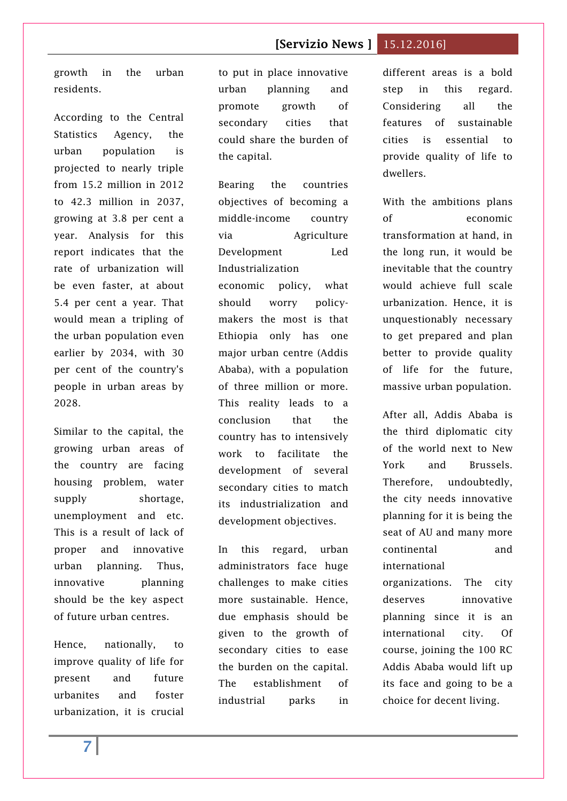growth in the urban residents.

According to the Central Statistics Agency, the urban population is projected to nearly triple from 15.2 million in 2012 to 42.3 million in 2037, growing at 3.8 per cent a year. Analysis for this report indicates that the rate of urbanization will be even faster, at about 5.4 per cent a year. That would mean a tripling of the urban population even earlier by 2034, with 30 per cent of the country's people in urban areas by 2028.

Similar to the capital, the growing urban areas of the country are facing housing problem, water supply shortage, unemployment and etc. This is a result of lack of proper and innovative urban planning. Thus, innovative planning should be the key aspect of future urban centres.

Hence, nationally, to improve quality of life for present and future urbanites and foster urbanization, it is crucial to put in place innovative urban planning and promote growth of secondary cities that could share the burden of the capital.

Bearing the countries objectives of becoming a middle-income country via Agriculture Development Led Industrialization economic policy, what should worry policymakers the most is that Ethiopia only has one major urban centre (Addis Ababa), with a population of three million or more. This reality leads to a conclusion that the country has to intensively work to facilitate the development of several secondary cities to match its industrialization and development objectives.

In this regard, urban administrators face huge challenges to make cities more sustainable. Hence, due emphasis should be given to the growth of secondary cities to ease the burden on the capital. The establishment of industrial parks in

different areas is a bold step in this regard. Considering all the features of sustainable cities is essential to provide quality of life to dwellers.

With the ambitions plans of economic transformation at hand, in the long run, it would be inevitable that the country would achieve full scale urbanization. Hence, it is unquestionably necessary to get prepared and plan better to provide quality of life for the future, massive urban population.

After all, Addis Ababa is the third diplomatic city of the world next to New York and Brussels. Therefore, undoubtedly, the city needs innovative planning for it is being the seat of AU and many more continental and international organizations. The city deserves innovative planning since it is an international city. Of course, joining the 100 RC Addis Ababa would lift up its face and going to be a

choice for decent living.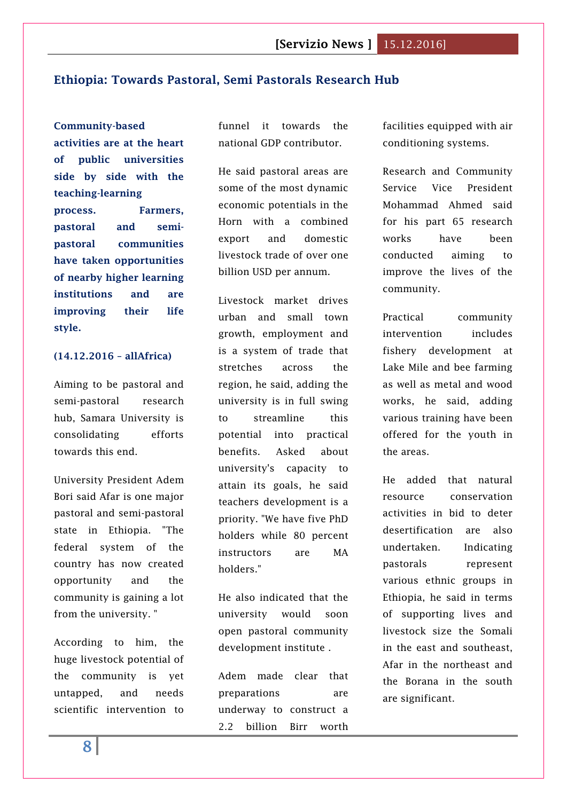## <span id="page-7-0"></span>**Ethiopia: Towards Pastoral, Semi Pastorals Research Hub**

**Community-based activities are at the heart of public universities side by side with the teaching-learning process. Farmers, pastoral and semipastoral communities have taken opportunities of nearby higher learning institutions and are improving their life style.**

## **(14.12.2016 – allAfrica)**

Aiming to be pastoral and semi-pastoral research hub, Samara University is consolidating efforts towards this end.

University President Adem Bori said Afar is one major pastoral and semi-pastoral state in Ethiopia. "The federal system of the country has now created opportunity and the community is gaining a lot from the university. "

According to him, the huge livestock potential of the community is yet untapped, and needs scientific intervention to funnel it towards the national GDP contributor.

He said pastoral areas are some of the most dynamic economic potentials in the Horn with a combined export and domestic livestock trade of over one billion USD per annum.

Livestock market drives urban and small town growth, employment and is a system of trade that stretches across the region, he said, adding the university is in full swing to streamline this potential into practical benefits. Asked about university's capacity to attain its goals, he said teachers development is a priority. "We have five PhD holders while 80 percent instructors are MA holders."

He also indicated that the university would soon open pastoral community development institute .

Adem made clear that preparations are underway to construct a 2.2 billion Birr worth facilities equipped with air conditioning systems.

Research and Community Service Vice President Mohammad Ahmed said for his part 65 research works have been conducted aiming to improve the lives of the community.

Practical community intervention includes fishery development at Lake Mile and bee farming as well as metal and wood works, he said, adding various training have been offered for the youth in the areas.

He added that natural resource conservation activities in bid to deter desertification are also undertaken. Indicating pastorals represent various ethnic groups in Ethiopia, he said in terms of supporting lives and livestock size the Somali in the east and southeast, Afar in the northeast and the Borana in the south are significant.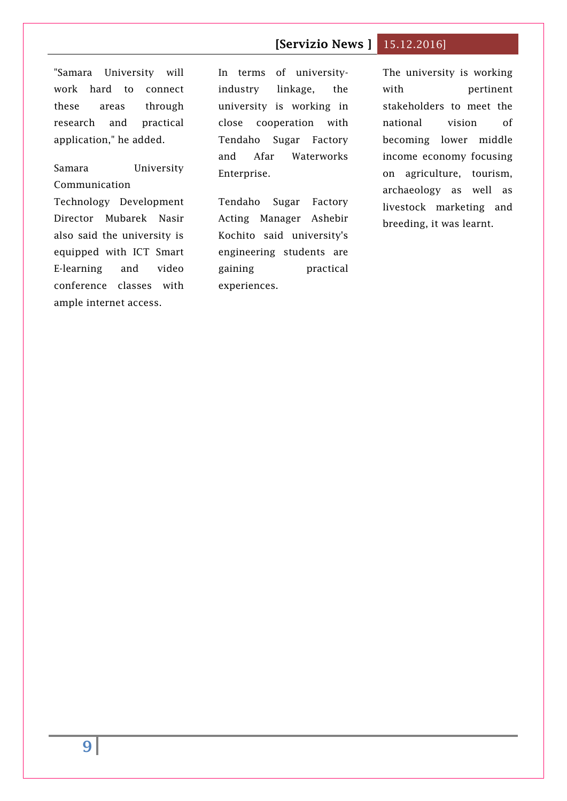# "Samara University will work hard to connect these areas through research and practical application," he added.

Samara University Communication Technology Development Director Mubarek Nasir also said the university is equipped with ICT Smart E-learning and video conference classes with ample internet access.

In terms of universityindustry linkage, the university is working in close cooperation with Tendaho Sugar Factory and Afar Waterworks Enterprise.

Tendaho Sugar Factory Acting Manager Ashebir Kochito said university's engineering students are gaining practical experiences.

The university is working with pertinent stakeholders to meet the national vision of becoming lower middle income economy focusing on agriculture, tourism, archaeology as well as livestock marketing and breeding, it was learnt.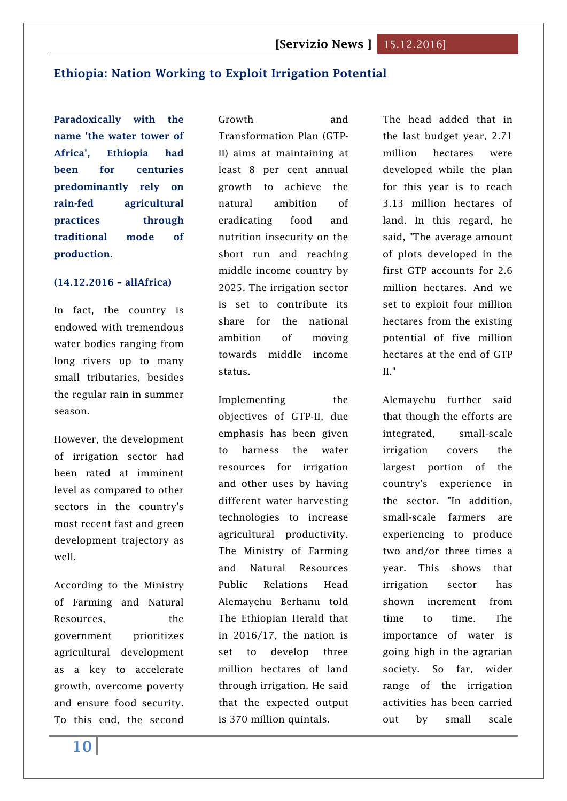## <span id="page-9-0"></span>**Ethiopia: Nation Working to Exploit Irrigation Potential**

**Paradoxically with the name 'the water tower of Africa', Ethiopia had been for centuries predominantly rely on rain-fed agricultural practices through traditional mode of production.**

#### **(14.12.2016 – allAfrica)**

In fact, the country is endowed with tremendous water bodies ranging from long rivers up to many small tributaries, besides the regular rain in summer season.

However, the development of irrigation sector had been rated at imminent level as compared to other sectors in the country's most recent fast and green development trajectory as well.

According to the Ministry of Farming and Natural Resources, the government prioritizes agricultural development as a key to accelerate growth, overcome poverty and ensure food security. To this end, the second

Growth and Transformation Plan (GTP-II) aims at maintaining at least 8 per cent annual growth to achieve the natural ambition of eradicating food and nutrition insecurity on the short run and reaching middle income country by 2025. The irrigation sector is set to contribute its share for the national ambition of moving towards middle income status.

Implementing the objectives of GTP-II, due emphasis has been given to harness the water resources for irrigation and other uses by having different water harvesting technologies to increase agricultural productivity. The Ministry of Farming and Natural Resources Public Relations Head Alemayehu Berhanu told The Ethiopian Herald that in 2016/17, the nation is set to develop three million hectares of land through irrigation. He said that the expected output is 370 million quintals.

The head added that in the last budget year, 2.71 million hectares were developed while the plan for this year is to reach 3.13 million hectares of land. In this regard, he said, "The average amount of plots developed in the first GTP accounts for 2.6 million hectares. And we set to exploit four million hectares from the existing potential of five million hectares at the end of GTP II."

Alemayehu further said that though the efforts are integrated, small-scale irrigation covers the largest portion of the country's experience in the sector. "In addition, small-scale farmers are experiencing to produce two and/or three times a year. This shows that irrigation sector has shown increment from time to time. The importance of water is going high in the agrarian society. So far, wider range of the irrigation activities has been carried out by small scale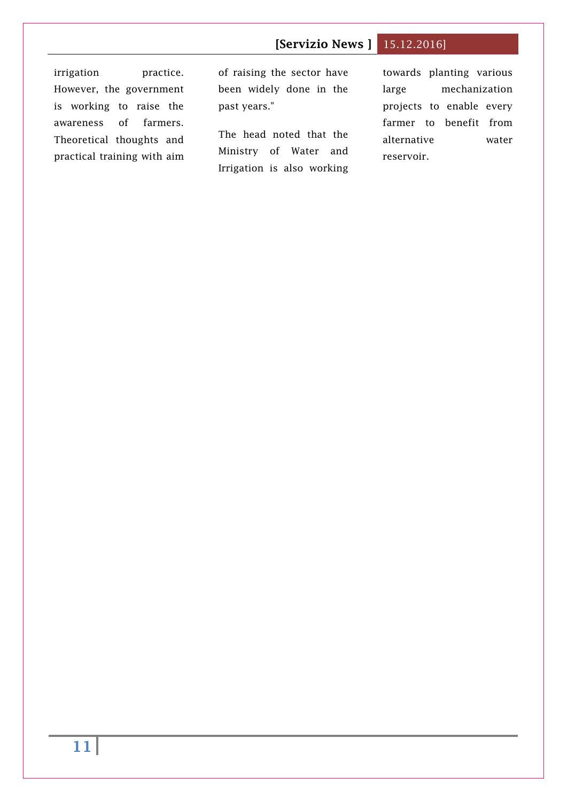irrigation practice. However, the government is working to raise the awareness of farmers. Theoretical thoughts and practical training with aim of raising the sector have been widely done in the past years."

The head noted that the Ministry of Water and Irrigation is also working

towards planting various large mechanization projects to enable every farmer to benefit from alternative water reservoir.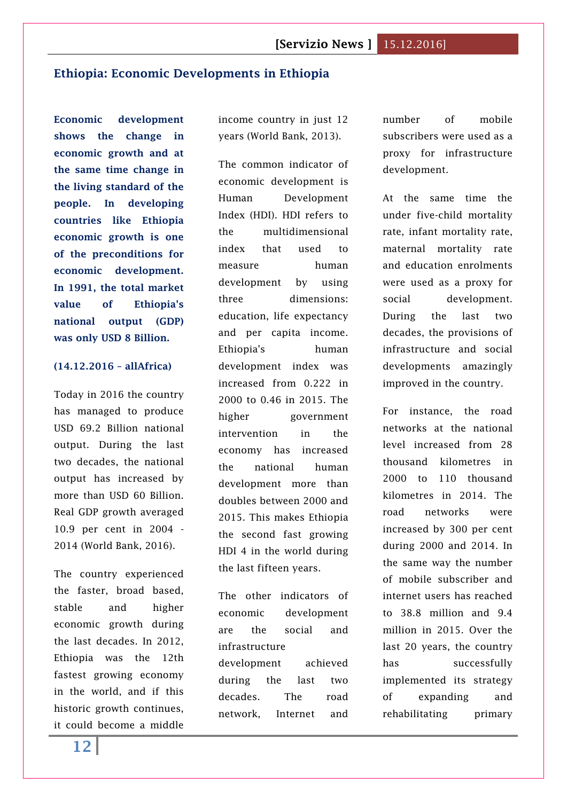## <span id="page-11-0"></span>**Ethiopia: Economic Developments in Ethiopia**

**Economic development shows the change in economic growth and at the same time change in the living standard of the people. In developing countries like Ethiopia economic growth is one of the preconditions for economic development. In 1991, the total market value of Ethiopia's national output (GDP) was only USD 8 Billion.**

#### **(14.12.2016 – allAfrica)**

Today in 2016 the country has managed to produce USD 69.2 Billion national output. During the last two decades, the national output has increased by more than USD 60 Billion. Real GDP growth averaged 10.9 per cent in 2004 - 2014 (World Bank, 2016).

The country experienced the faster, broad based, stable and higher economic growth during the last decades. In 2012, Ethiopia was the 12th fastest growing economy in the world, and if this historic growth continues, it could become a middle

income country in just 12 years (World Bank, 2013).

The common indicator of economic development is Human Development Index (HDI). HDI refers to the multidimensional index that used to measure human development by using three dimensions: education, life expectancy and per capita income. Ethiopia's human development index was increased from 0.222 in 2000 to 0.46 in 2015. The higher government intervention in the economy has increased the national human development more than doubles between 2000 and 2015. This makes Ethiopia the second fast growing HDI 4 in the world during the last fifteen years.

The other indicators of economic development are the social and infrastructure development achieved during the last two decades. The road network, Internet and number of mobile subscribers were used as a proxy for infrastructure development.

At the same time the under five-child mortality rate, infant mortality rate, maternal mortality rate and education enrolments were used as a proxy for social development. During the last two decades, the provisions of infrastructure and social developments amazingly improved in the country.

For instance, the road networks at the national level increased from 28 thousand kilometres in 2000 to 110 thousand kilometres in 2014. The road networks were increased by 300 per cent during 2000 and 2014. In the same way the number of mobile subscriber and internet users has reached to 38.8 million and 9.4 million in 2015. Over the last 20 years, the country has successfully implemented its strategy of expanding and rehabilitating primary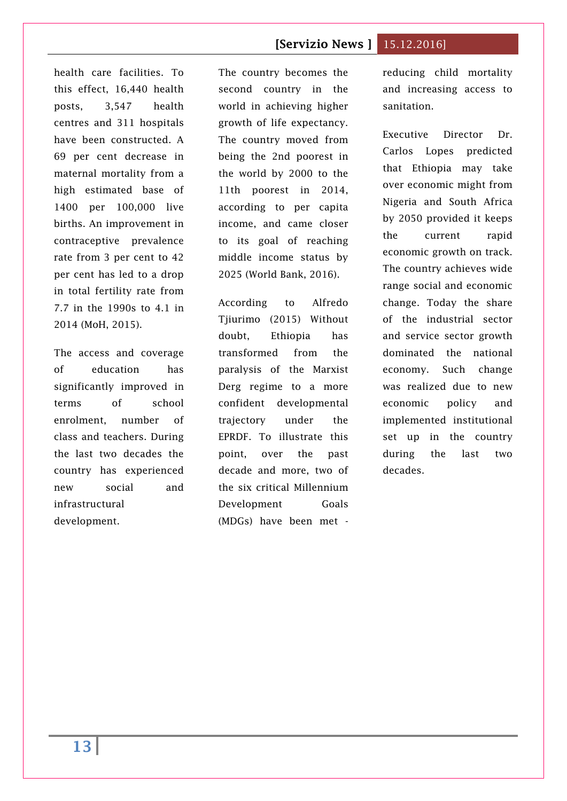health care facilities. To this effect, 16,440 health posts, 3,547 health centres and 311 hospitals have been constructed. A 69 per cent decrease in maternal mortality from a high estimated base of 1400 per 100,000 live births. An improvement in contraceptive prevalence rate from 3 per cent to 42 per cent has led to a drop in total fertility rate from 7.7 in the 1990s to 4.1 in 2014 (MoH, 2015).

The access and coverage of education has significantly improved in terms of school enrolment, number of class and teachers. During the last two decades the country has experienced new social and infrastructural development.

The country becomes the second country in the world in achieving higher growth of life expectancy. The country moved from being the 2nd poorest in the world by 2000 to the 11th poorest in 2014, according to per capita income, and came closer to its goal of reaching middle income status by 2025 (World Bank, 2016).

According to Alfredo Tjiurimo (2015) Without doubt, Ethiopia has transformed from the paralysis of the Marxist Derg regime to a more confident developmental trajectory under the EPRDF. To illustrate this point, over the past decade and more, two of the six critical Millennium Development Goals (MDGs) have been met -

reducing child mortality and increasing access to sanitation.

Executive Director Dr. Carlos Lopes predicted that Ethiopia may take over economic might from Nigeria and South Africa by 2050 provided it keeps the current rapid economic growth on track. The country achieves wide range social and economic change. Today the share of the industrial sector and service sector growth dominated the national economy. Such change was realized due to new economic policy and implemented institutional set up in the country during the last two decades.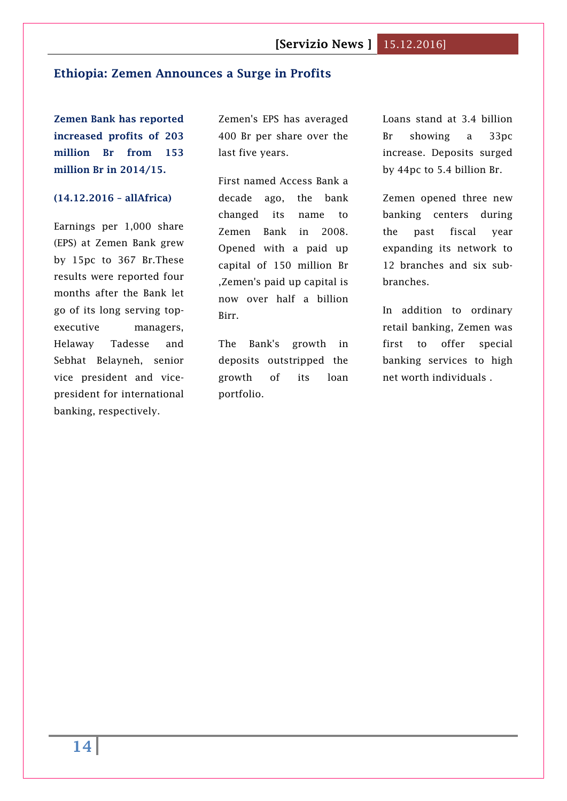## <span id="page-13-0"></span>**Ethiopia: Zemen Announces a Surge in Profits**

**Zemen Bank has reported increased profits of 203 million Br from 153 million Br in 2014/15.**

#### **(14.12.2016 – allAfrica)**

Earnings per 1,000 share (EPS) at Zemen Bank grew by 15pc to 367 Br.These results were reported four months after the Bank let go of its long serving topexecutive managers, Helaway Tadesse and Sebhat Belayneh, senior vice president and vicepresident for international banking, respectively.

Zemen's EPS has averaged 400 Br per share over the last five years.

First named Access Bank a decade ago, the bank changed its name to Zemen Bank in 2008. Opened with a paid up capital of 150 million Br ,Zemen's paid up capital is now over half a billion Birr.

The Bank's growth in deposits outstripped the growth of its loan portfolio.

Loans stand at 3.4 billion Br showing a 33pc increase. Deposits surged by 44pc to 5.4 billion Br.

Zemen opened three new banking centers during the past fiscal year expanding its network to 12 branches and six subbranches.

In addition to ordinary retail banking, Zemen was first to offer special banking services to high net worth individuals .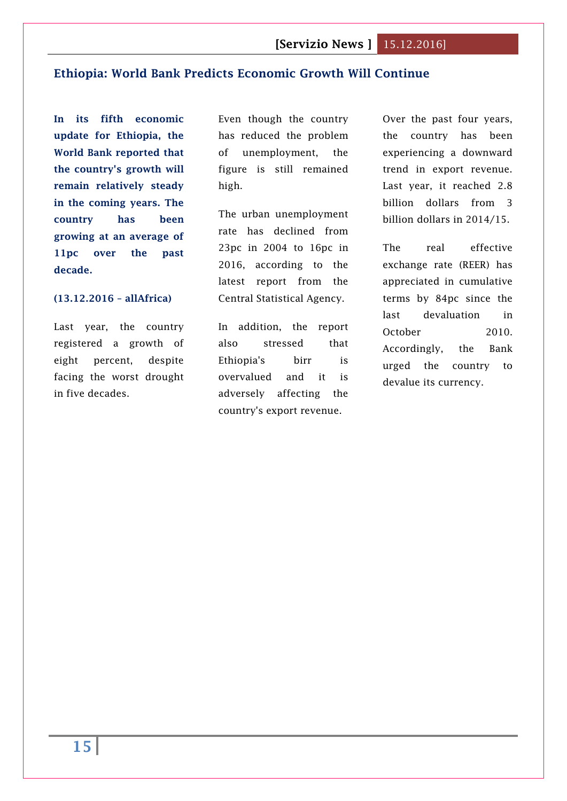## <span id="page-14-0"></span>**Ethiopia: World Bank Predicts Economic Growth Will Continue**

**In its fifth economic update for Ethiopia, the World Bank reported that the country's growth will remain relatively steady in the coming years. The country has been growing at an average of 11pc over the past decade.**

#### **(13.12.2016 – allAfrica)**

Last year, the country registered a growth of eight percent, despite facing the worst drought in five decades.

Even though the country has reduced the problem of unemployment, the figure is still remained high.

The urban unemployment rate has declined from 23pc in 2004 to 16pc in 2016, according to the latest report from the Central Statistical Agency.

In addition, the report also stressed that Ethiopia's birr is overvalued and it is adversely affecting the country's export revenue.

Over the past four years, the country has been experiencing a downward trend in export revenue. Last year, it reached 2.8 billion dollars from 3 billion dollars in 2014/15.

The real effective exchange rate (REER) has appreciated in cumulative terms by 84pc since the last devaluation in October 2010. Accordingly, the Bank urged the country to devalue its currency.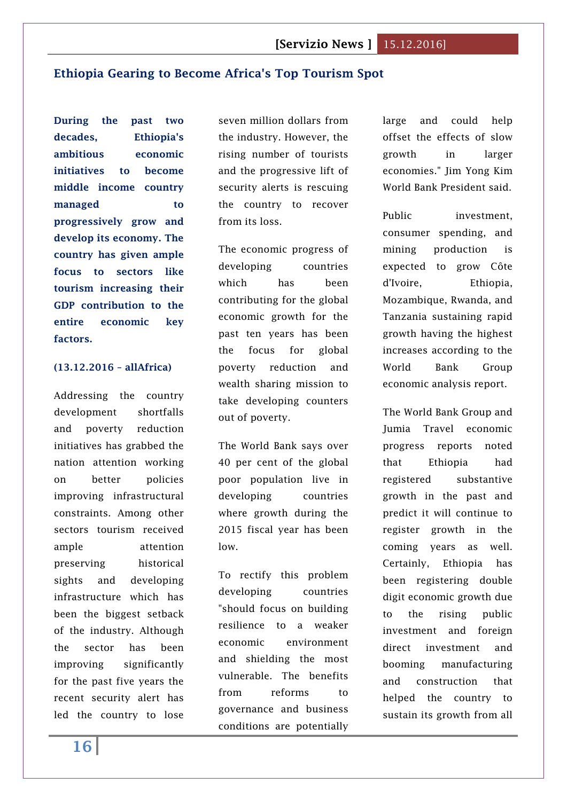## <span id="page-15-0"></span>**Ethiopia Gearing to Become Africa's Top Tourism Spot**

**During the past two decades, Ethiopia's ambitious economic initiatives to become middle income country managed to progressively grow and develop its economy. The country has given ample focus to sectors like tourism increasing their GDP contribution to the entire economic key factors.**

#### **(13.12.2016 – allAfrica)**

Addressing the country development shortfalls and poverty reduction initiatives has grabbed the nation attention working on better policies improving infrastructural constraints. Among other sectors tourism received ample attention preserving historical sights and developing infrastructure which has been the biggest setback of the industry. Although the sector has been improving significantly for the past five years the recent security alert has led the country to lose

seven million dollars from the industry. However, the rising number of tourists and the progressive lift of security alerts is rescuing the country to recover from its loss.

The economic progress of developing countries which has been contributing for the global economic growth for the past ten years has been the focus for global poverty reduction and wealth sharing mission to take developing counters out of poverty.

The World Bank says over 40 per cent of the global poor population live in developing countries where growth during the 2015 fiscal year has been low.

To rectify this problem developing countries "should focus on building resilience to a weaker economic environment and shielding the most vulnerable. The benefits from reforms to governance and business conditions are potentially

large and could help offset the effects of slow growth in larger economies." Jim Yong Kim World Bank President said.

Public investment, consumer spending, and mining production is expected to grow Côte d'Ivoire, Ethiopia, Mozambique, Rwanda, and Tanzania sustaining rapid growth having the highest increases according to the World Bank Group economic analysis report.

The World Bank Group and Jumia Travel economic progress reports noted that Ethiopia had registered substantive growth in the past and predict it will continue to register growth in the coming years as well. Certainly, Ethiopia has been registering double digit economic growth due to the rising public investment and foreign direct investment and booming manufacturing and construction that helped the country to sustain its growth from all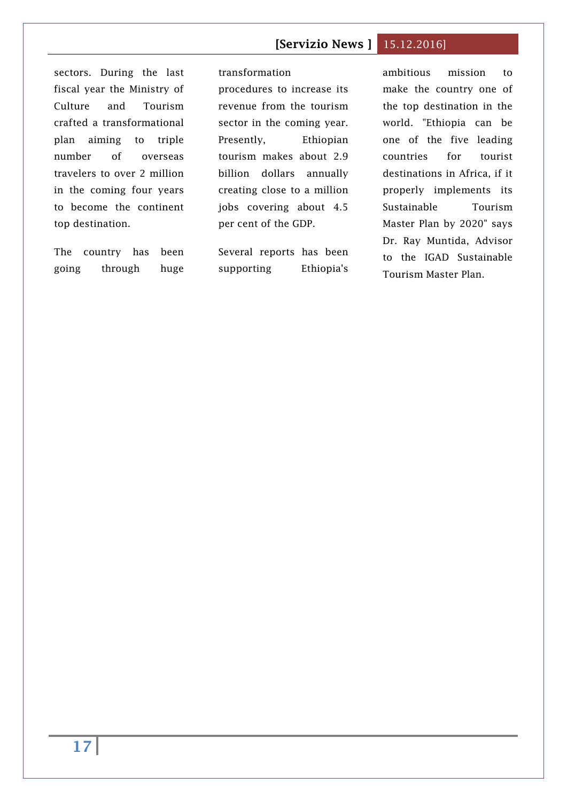sectors. During the last fiscal year the Ministry of Culture and Tourism crafted a transformational plan aiming to triple number of overseas travelers to over 2 million in the coming four years to become the continent top destination.

The country has been going through huge

transformation procedures to increase its revenue from the tourism sector in the coming year. Presently, Ethiopian tourism makes about 2.9 billion dollars annually creating close to a million jobs covering about 4.5 per cent of the GDP.

Several reports has been supporting Ethiopia's

ambitious mission to make the country one of the top destination in the world. "Ethiopia can be one of the five leading countries for tourist destinations in Africa, if it properly implements its Sustainable Tourism Master Plan by 2020" says Dr. Ray Muntida, Advisor to the IGAD Sustainable Tourism Master Plan.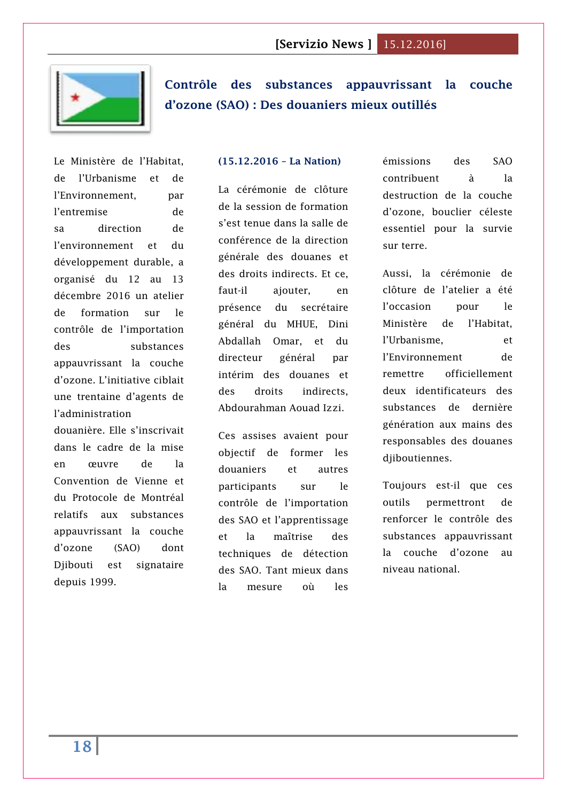

<span id="page-17-0"></span>**[Contrôle des substances appauvrissant la couche](http://www.lanationdj.com/controle-substances-appauvrissant-couche-dozone-sao-douaniers-mieux-outilles/)  [d'ozone \(SAO\) : Des douaniers mieux outillés](http://www.lanationdj.com/controle-substances-appauvrissant-couche-dozone-sao-douaniers-mieux-outilles/)**

Le Ministère de l'Habitat, de l'Urbanisme et de l'Environnement. par l'entremise de sa direction de l'environnement et du développement durable, a organisé du 12 au 13 décembre 2016 un atelier de formation sur le contrôle de l'importation des substances appauvrissant la couche d'ozone. L'initiative ciblait une trentaine d'agents de l'administration douanière. Elle s'inscrivait dans le cadre de la mise

en œuvre de la Convention de Vienne et du Protocole de Montréal relatifs aux substances appauvrissant la couche d'ozone (SAO) dont Djibouti est signataire depuis 1999.

#### **(15.12.2016 – La Nation)**

La cérémonie de clôture de la session de formation s'est tenue dans la salle de conférence de la direction générale des douanes et des droits indirects. Et ce, faut-il ajouter, en présence du secrétaire général du MHUE, Dini Abdallah Omar, et du directeur général par intérim des douanes et des droits indirects, Abdourahman Aouad Izzi.

Ces assises avaient pour objectif de former les douaniers et autres participants sur le contrôle de l'importation des SAO et l'apprentissage et la maîtrise des techniques de détection des SAO. Tant mieux dans la mesure où les

émissions des SAO contribuent à la destruction de la couche d'ozone, bouclier céleste essentiel pour la survie sur terre.

Aussi, la cérémonie de clôture de l'atelier a été l'occasion pour le Ministère de l'Habitat, l'Urbanisme, et l'Environnement de remettre officiellement deux identificateurs des substances de dernière génération aux mains des responsables des douanes djiboutiennes.

Toujours est-il que ces outils permettront de renforcer le contrôle des substances appauvrissant la couche d'ozone au niveau national.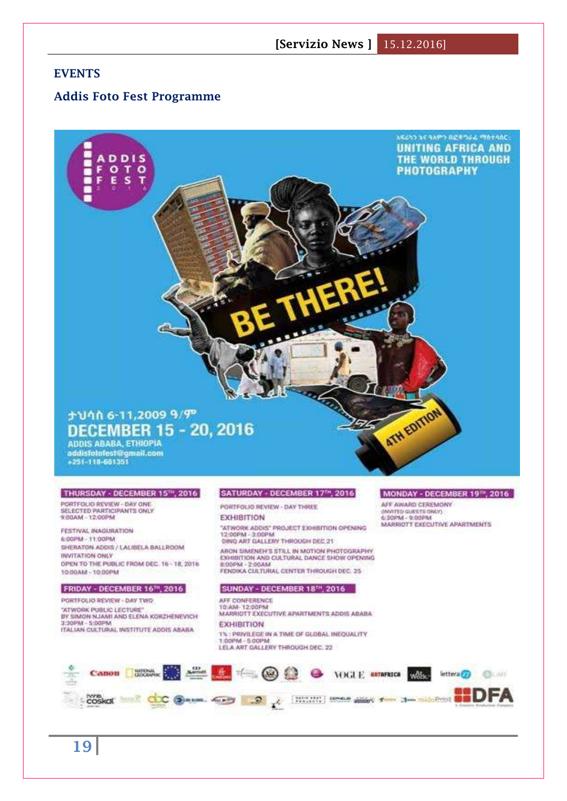## **EVENTS**

#### **Addis Foto Fest Programme**

#### አፍሪካን እና ዓለምን በፎቶግራል ማስተሳሰር **UNITING AFRICA AND DDIS THE WORLD THROUGH** F  $\circ$ T O **PHOTOGRAPHY** E s ATH EDITION ታህሳስ 6-11,2009 ዓ/ም **DECEMBER 15 - 20, 2016** ADDIS ABABA, ETHIOPIA<br>addisfotolest@gmail.com<br>+251-118-681351 THURSDAY - DECEMBER 15<sup>14</sup>, 2016 SATURDAY - DECEMBER 17<sup>14</sup>, 2016 MONDAY - DECEMBER 1978, 2016 PORTFOLIO REVIEW - DAY ONE<br>SELECTED PARTICIPANTS ONLY AFF AWARD CEREMONY PORTFOLIO REVIEW - DAY THREE (INVITED QUESTS ONLY)<br>6:30PM - 9:00PM 9:00AM - 12:00PM **EXHIBITION** MARRIOTT EXECUTIVE APARTMENTS "ATWORK ADDIS" PROJECT EXHIBITION OPENING<br>12:00PM - 3:00PM FESTIVAL INAGURATION 6:00PM - 11:00PM DING ART GALLERY THROUGH DEC 21 SHERATON ADDIS / LALISELA BALLROOM ARON SIMENEH'S STILL IN MOTION PHOTOGRAPHY INVITATION ONLY EXHIBITION AND CULTURAL DANCE SHOW OPENING OPEN TO THE PUBLIC FROM DEC. 16 - 18, 2016 B-DOPAL - 2-OOAM FENDIKA CULTURAL CENTER THROUGH DEC. 25 10:00 AM - 10:00 PM FRIDAY - DECEMBER 16<sup>1H</sup>, 2016 SUNDAY - DECEMBER 18<sup>TH</sup>, 2016 PORTFOLIO REVIEW - DAY TWO AFF. CONFERENCE 10:AM-12:00PM "ATWORK PUBLIC LECTURE MARRIOTT EXECUTIVE APARTMENTS ADDIS ABABA BY SIMON NJAMI AND ELENA KORZHENEVICH 3:30PM - 5:00PM **EXHIBITION** ITALIAN CULTURAL INSTITUTE ADDIS ABABA 1% : PRIVILEGE IN A TIME OF GLOBAL INEQUALITY 1:00PM - 5:00PM LELA ART GALLERY THROUGH DEC. 22



**19**